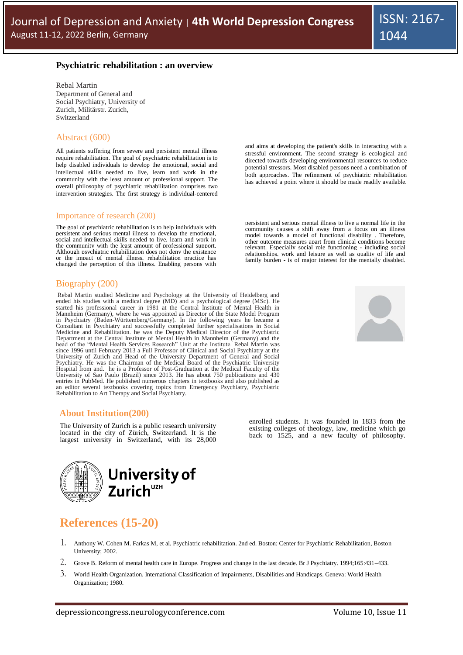## **Psychiatric rehabilitation : an overview**

Rebal Martin Department of General and Social Psychiatry, University of Zurich, Militärstr. Zurich, Switzerland

## Abstract (600)

All patients suffering from severe and persistent mental illness require rehabilitation. The goal of psychiatric rehabilitation is to help disabled individuals to develop the emotional, social and intellectual skills needed to live, learn and work in the community with the least amount of professional support. The overall philosophy of psychiatric rehabilitation comprises two intervention strategies. The first strategy is individual-centered

#### Importance of research (200)

The goal of psychiatric rehabilitation is to help individuals with persistent and serious mental illness to develop the emotional, social and intellectual skills needed to live, learn and work in the community with the least amount of professional support. Although psychiatric rehabilitation does not deny the existence or the impact of mental illness, rehabilitation practice has changed the perception of this illness. Enabling persons with

#### Biography (200)

Rebal Martin studied Medicine and Psychology at the University of Heidelberg and ended his studies with a medical degree (MD) and a psychological degree (MSc). He started his professional career in 1981 at the Central Institute of Mental Health in Mannheim (Germany), where he was appointed as Director of the State Model Program in Psychiatry (Baden-Württemberg/Germany). In the following years he became a Consultant in Psychiatry and successfully completed further specialisations in Social Medicine and Rehabilitation. he was the Deputy Medical Dir head of the "Mental Health Services Research" Unit at the Institute. Rebal Martin was since 1996 until February 2013 a Full Professor of Clinical and Social Psychiatry at the University of Zurich and Head of the University Department of General and Social Psychiatry. He was the Chairman of the Medical Board of the Psychiatric University Hospital from and. he is a Professor of Post-Graduation at the Medical Faculty of the University of Sao Paulo (Brazil) since 2013. He has about 750 publications and 430 entries in PubMed. He published numerous chapters in textbooks and also published as an editor several textbooks covering topics from Emergency Psychiatry, Psychiatric Rehabilitation to Art Therapy and Social Psychiatry.

# **About Institution(200)**

The University of Zurich is a public research university located in the city of Zürich, Switzerland. It is the largest university in Switzerland, with its 28,000



# **References (15-20)**

- 1. Anthony W. Cohen M. Farkas M, et al. Psychiatric rehabilitation. 2nd ed. Boston: Center for Psychiatric Rehabilitation, Boston University; 2002.
- 2. Grove B. Reform of mental health care in Europe. Progress and change in the last decade. Br J Psychiatry. 1994;165:431–433.
- 3. World Health Organization. International Classification of Impairments, Disabilities and Handicaps. Geneva: World Health Organization; 1980.

and aims at developing the patient's skills in interacting with a stressful environment. The second strategy is ecological and directed towards developing environmental resources to reduce potential stressors. Most disabled persons need a combination of both approaches. The refinement of psychiatric rehabilitation has achieved a point where it should be made readily available.

persistent and serious mental illness to live a normal life in the community causes a shift away from a focus on an illness model towards a model of functional disability . Therefore, other outcome measures apart from clinical conditions become relevant. Especially social role functioning - including social relationships, work and leisure as well as quality of life and family burden - is of major interest for the mentally disabled.



enrolled students. It was founded in 1833 from the existing colleges of theology, law, medicine which go back to 1525, and a new faculty of philosophy.